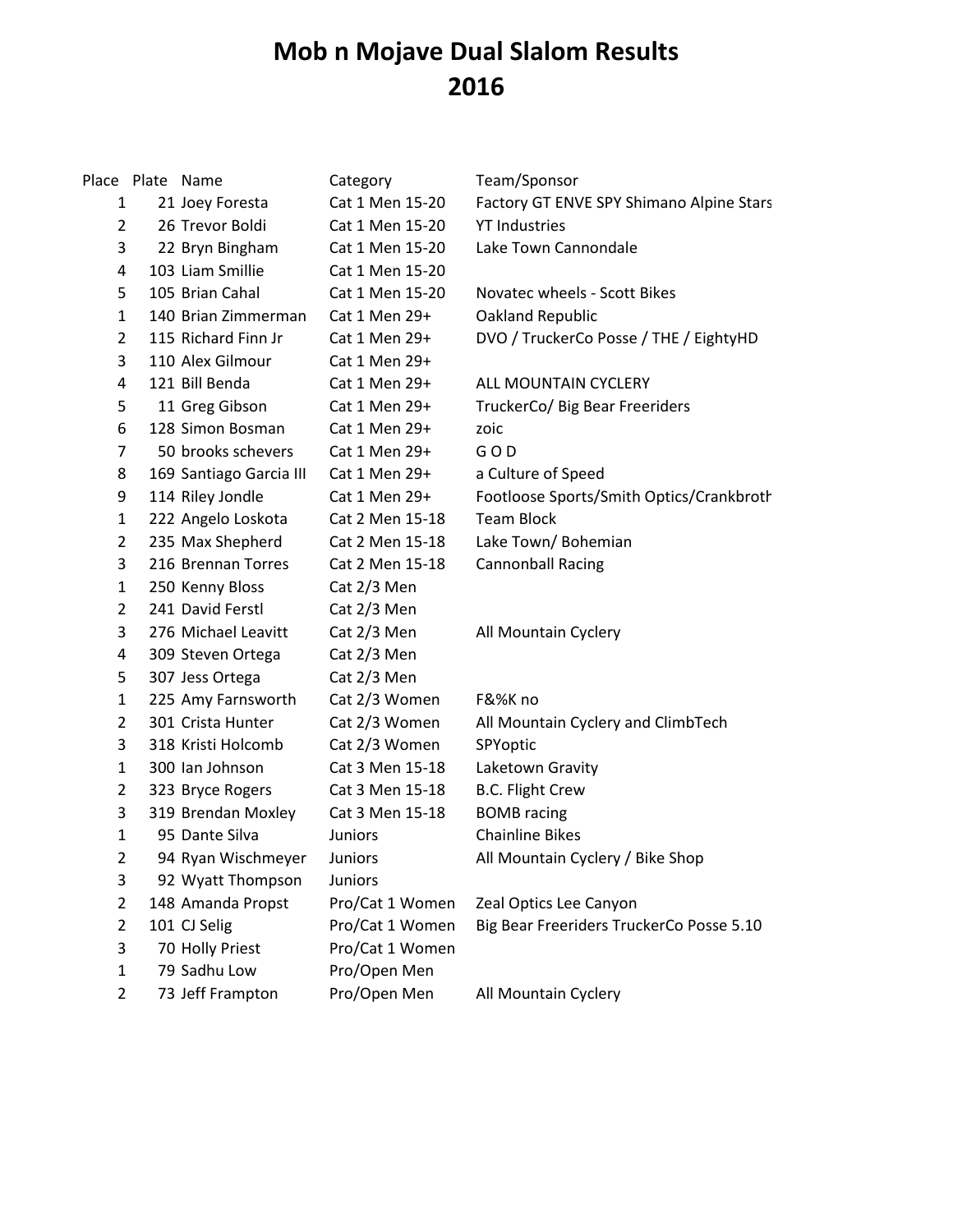## **Mob n Mojave Dual Slalom Results 2016**

Place Plate Name **Category** Team/Sponsor 1 21 Joey Foresta Cat 1 Men 15-20 Factory GT ENVE SPY Shimano Alpine Stars 2 26 Trevor Boldi Cat 1 Men 15-20 YT Industries 3 22 Bryn Bingham Cat 1 Men 15-20 Lake Town Cannondale 4 103 Liam Smillie Cat 1 Men 15-20 5 105 Brian Cahal Cat 1 Men 15-20 Novatec wheels - Scott Bikes 1 140 Brian Zimmerman Cat 1 Men 29+ Oakland Republic 2 115 Richard Finn Jr Cat 1 Men 29+ DVO / TruckerCo Posse / THE / EightyHD 3 110 Alex Gilmour Cat 1 Men 29+ 4 121 Bill Benda Cat 1 Men 29+ ALL MOUNTAIN CYCLERY 5 11 Greg Gibson Cat 1 Men 29+ TruckerCo/ Big Bear Freeriders 6 128 Simon Bosman Cat 1 Men 29+ zoic 7 50 brooks schevers Cat 1 Men 29+ G O D 8 169 Santiago Garcia III Cat 1 Men 29+ a Culture of Speed 9 114 Riley Jondle Cat 1 Men 29+ Footloose Sports/Smith Optics/Crankbrothers 1 222 Angelo Loskota Cat 2 Men 15-18 Team Block 2 235 Max Shepherd Cat 2 Men 15-18 Lake Town/ Bohemian 3 216 Brennan Torres Cat 2 Men 15-18 Cannonball Racing 1 250 Kenny Bloss Cat 2/3 Men 2 241 David Ferstl Cat 2/3 Men 3 276 Michael Leavitt Cat 2/3 Men All Mountain Cyclery 4 309 Steven Ortega Cat 2/3 Men 5 307 Jess Ortega Cat 2/3 Men 1 225 Amy Farnsworth Cat 2/3 Women F&%K no 2 301 Crista Hunter Cat 2/3 Women All Mountain Cyclery and ClimbTech 3 318 Kristi Holcomb Cat 2/3 Women SPYoptic 1 300 Ian Johnson Cat 3 Men 15-18 Laketown Gravity 2 323 Bryce Rogers Cat 3 Men 15-18 B.C. Flight Crew 3 319 Brendan Moxley Cat 3 Men 15-18 BOMB racing 1 95 Dante Silva Juniors Chainline Bikes 2 94 Ryan Wischmeyer Juniors All Mountain Cyclery / Bike Shop 3 92 Wyatt Thompson Juniors 2 148 Amanda Propst Pro/Cat 1 Women Zeal Optics Lee Canyon 2 101 CJ Selig **Pro/Cat 1 Women** Big Bear Freeriders TruckerCo Posse 5.10 3 70 Holly Priest Pro/Cat 1 Women 1 79 Sadhu Low Pro/Open Men 2 73 Jeff Frampton Pro/Open Men All Mountain Cyclery